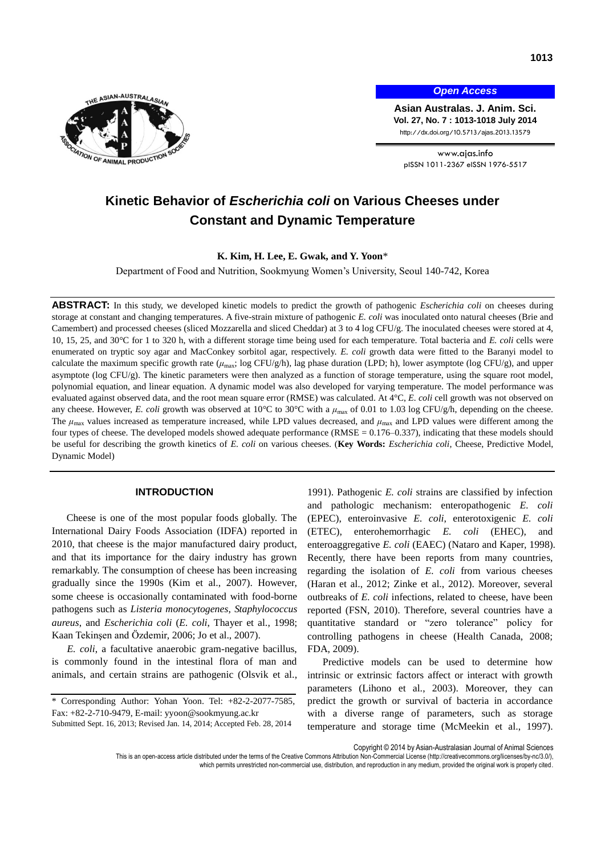

*Open Access*

**Asian Australas. J. Anim. Sci. Vol. 27, No. 7 : 1013-1018 July 2014** http://dx.doi.org/10.5713/ajas.2013.13579

www.ajas.info pISSN 1011-2367 eISSN 1976-5517

# **Kinetic Behavior of** *Escherichia coli* **on Various Cheeses under Constant and Dynamic Temperature**

**K. Kim, H. Lee, E. Gwak, and Y. Yoon**\*

Department of Food and Nutrition, Sookmyung Women's University, Seoul 140-742, Korea

**ABSTRACT:** In this study, we developed kinetic models to predict the growth of pathogenic *Escherichia coli* on cheeses during storage at constant and changing temperatures. A five-strain mixture of pathogenic *E. coli* was inoculated onto natural cheeses (Brie and Camembert) and processed cheeses (sliced Mozzarella and sliced Cheddar) at 3 to 4 log CFU/g. The inoculated cheeses were stored at 4, 10, 15, 25, and 30°C for 1 to 320 h, with a different storage time being used for each temperature. Total bacteria and *E. coli* cells were enumerated on tryptic soy agar and MacConkey sorbitol agar, respectively. *E. coli* growth data were fitted to the Baranyi model to calculate the maximum specific growth rate ( $\mu_{\text{max}}$ ; log CFU/g/h), lag phase duration (LPD; h), lower asymptote (log CFU/g), and upper asymptote (log CFU/g). The kinetic parameters were then analyzed as a function of storage temperature, using the square root model, polynomial equation, and linear equation. A dynamic model was also developed for varying temperature. The model performance was evaluated against observed data, and the root mean square error (RMSE) was calculated. At 4°C, *E. coli* cell growth was not observed on any cheese. However, *E. coli* growth was observed at 10°C to 30°C with a  $μ_{\text{max}}$  of 0.01 to 1.03 log CFU/g/h, depending on the cheese. The  $\mu_{\text{max}}$  values increased as temperature increased, while LPD values decreased, and  $\mu_{\text{max}}$  and LPD values were different among the four types of cheese. The developed models showed adequate performance (RMSE =  $0.176-0.337$ ), indicating that these models should be useful for describing the growth kinetics of *E. coli* on various cheeses. (**Key Words:** *Escherichia coli*, Cheese, Predictive Model, Dynamic Model)

# **INTRODUCTION**

Cheese is one of the most popular foods globally. The International Dairy Foods Association (IDFA) reported in 2010, that cheese is the major manufactured dairy product, and that its importance for the dairy industry has grown remarkably. The consumption of cheese has been increasing gradually since the 1990s (Kim et al., 2007). However, some cheese is occasionally contaminated with food-borne pathogens such as *Listeria monocytogenes*, *Staphylococcus aureus*, and *Escherichia coli* (*E. coli*, Thayer et al., 1998; Kaan Tekinşen and Özdemir, 2006; Jo et al., 2007).

*E. coli*, a facultative anaerobic gram-negative bacillus, is commonly found in the intestinal flora of man and animals, and certain strains are pathogenic (Olsvik et al.,

1991). Pathogenic *E. coli* strains are classified by infection and pathologic mechanism: enteropathogenic *E. coli*  (EPEC), enteroinvasive *E. coli*, enterotoxigenic *E. coli*  (ETEC), enterohemorrhagic *E. coli* (EHEC), and enteroaggregative *E. coli* (EAEC) (Nataro and Kaper, 1998). Recently, there have been reports from many countries, regarding the isolation of *E. coli* from various cheeses (Haran et al., 2012; Zinke et al., 2012). Moreover, several outbreaks of *E. coli* infections, related to cheese, have been reported (FSN, 2010). Therefore, several countries have a quantitative standard or "zero tolerance" policy for controlling pathogens in cheese (Health Canada, 2008; FDA, 2009).

Predictive models can be used to determine how intrinsic or extrinsic factors affect or interact with growth parameters (Lihono et al., 2003). Moreover, they can predict the growth or survival of bacteria in accordance with a diverse range of parameters, such as storage temperature and storage time (McMeekin et al., 1997).

Copyright © 2014 by Asian-Australasian Journal of Animal Sciences

<sup>\*</sup> Corresponding Author: Yohan Yoon. Tel: +82-2-2077-7585, Fax: +82-2-710-9479, E-mail: [yyoon@sookmyung.ac.kr](mailto:yyoon@sookmyung.ac.kr) Submitted Sept. 16, 2013; Revised Jan. 14, 2014; Accepted Feb. 28, 2014

This is an open-access article distributed under the terms of the Creative Commons Attribution Non-Commercial License [\(http://creativecommons.org/licenses/by-nc/3.0/\),](http://creativecommons.org/licenses/by-nc/3.0/) which permits unrestricted non-commercial use, distribution, and reproduction in any medium, provided the original work is properly cited.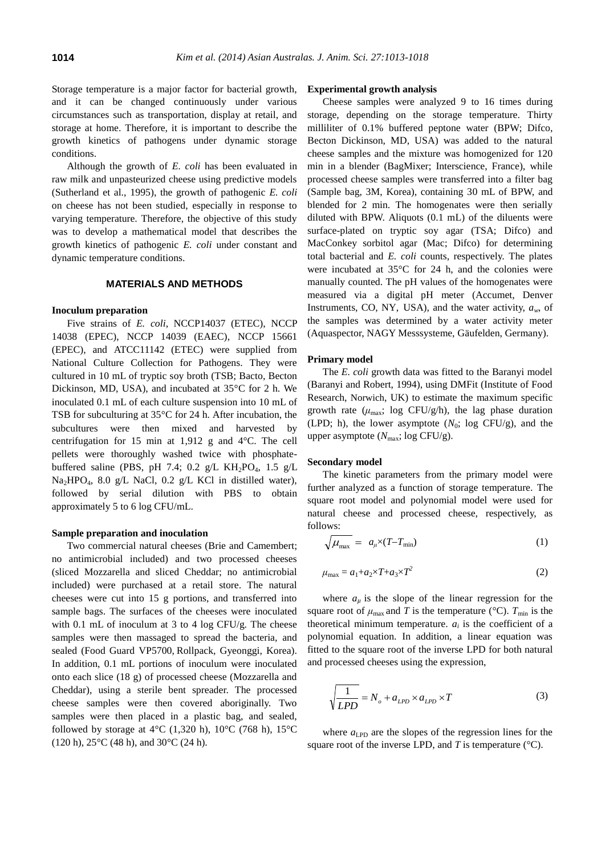Storage temperature is a major factor for bacterial growth, and it can be changed continuously under various circumstances such as transportation, display at retail, and storage at home. Therefore, it is important to describe the growth kinetics of pathogens under dynamic storage conditions.

Although the growth of *E. coli* has been evaluated in raw milk and unpasteurized cheese using predictive models (Sutherland et al., 1995), the growth of pathogenic *E. coli* on cheese has not been studied, especially in response to varying temperature. Therefore, the objective of this study was to develop a mathematical model that describes the growth kinetics of pathogenic *E. coli* under constant and dynamic temperature conditions.

## **MATERIALS AND METHODS**

### **Inoculum preparation**

Five strains of *E. coli*, NCCP14037 (ETEC), NCCP 14038 (EPEC), NCCP 14039 (EAEC), NCCP 15661 (EPEC), and ATCC11142 (ETEC) were supplied from National Culture Collection for Pathogens. They were cultured in 10 mL of tryptic soy broth (TSB; Bacto, Becton Dickinson, MD, USA), and incubated at 35°C for 2 h. We inoculated 0.1 mL of each culture suspension into 10 mL of TSB for subculturing at 35°C for 24 h. After incubation, the subcultures were then mixed and harvested by centrifugation for 15 min at 1,912 g and 4°C. The cell pellets were thoroughly washed twice with phosphatebuffered saline (PBS, pH 7.4; 0.2 g/L KH<sub>2</sub>PO<sub>4</sub>, 1.5 g/L Na2HPO4, 8.0 g/L NaCl, 0.2 g/L KCl in distilled water), followed by serial dilution with PBS to obtain approximately 5 to 6 log CFU/mL.

#### **Sample preparation and inoculation**

Two commercial natural cheeses (Brie and Camembert; no antimicrobial included) and two processed cheeses (sliced Mozzarella and sliced Cheddar; no antimicrobial included) were purchased at a retail store. The natural cheeses were cut into 15 g portions, and transferred into sample bags. The surfaces of the cheeses were inoculated with 0.1 mL of inoculum at 3 to 4 log CFU/g. The cheese samples were then massaged to spread the bacteria, and sealed (Food Guard VP5700, Rollpack, Gyeonggi, Korea). In addition, 0.1 mL portions of inoculum were inoculated onto each slice (18 g) of processed cheese (Mozzarella and Cheddar), using a sterile bent spreader. The processed cheese samples were then covered aboriginally. Two samples were then placed in a plastic bag, and sealed, followed by storage at  $4^{\circ}$ C (1,320 h),  $10^{\circ}$ C (768 h),  $15^{\circ}$ C (120 h), 25°C (48 h), and 30°C (24 h).

#### **Experimental growth analysis**

Cheese samples were analyzed 9 to 16 times during storage, depending on the storage temperature. Thirty milliliter of 0.1% buffered peptone water (BPW; Difco, Becton Dickinson, MD, USA) was added to the natural cheese samples and the mixture was homogenized for 120 min in a blender (BagMixer; Interscience, France), while processed cheese samples were transferred into a filter bag (Sample bag, 3M, Korea), containing 30 mL of BPW, and blended for 2 min. The homogenates were then serially diluted with BPW. Aliquots (0.1 mL) of the diluents were surface-plated on tryptic soy agar (TSA; Difco) and MacConkey sorbitol agar (Mac; Difco) for determining total bacterial and *E. coli* counts, respectively. The plates were incubated at 35°C for 24 h, and the colonies were manually counted. The pH values of the homogenates were measured via a digital pH meter (Accumet, Denver Instruments, CO, NY, USA), and the water activity,  $a_w$ , of the samples was determined by a water activity meter (Aquaspector, NAGY Messsysteme, Gäufelden, Germany).

#### **Primary model**

The *E. coli* growth data was fitted to the Baranyi model (Baranyi and Robert, 1994), using DMFit (Institute of Food Research, Norwich, UK) to estimate the maximum specific growth rate  $(\mu_{\text{max}}; \text{log CFU/g/h})$ , the lag phase duration (LPD; h), the lower asymptote  $(N_0; \log CFU/g)$ , and the upper asymptote ( $N_{\text{max}}$ ; log CFU/g).

### **Secondary model**

The kinetic parameters from the primary model were further analyzed as a function of storage temperature. The square root model and polynomial model were used for natural cheese and processed cheese, respectively, as follows:

$$
\sqrt{\mu_{\text{max}}} = a_{\mu} \times (T - T_{\text{min}}) \tag{1}
$$

$$
\mu_{\text{max}} = a_1 + a_2 \times T + a_3 \times T^2 \tag{2}
$$

where  $a_{\mu}$  is the slope of the linear regression for the square root of  $\mu_{\text{max}}$  and *T* is the temperature (°C).  $T_{\text{min}}$  is the theoretical minimum temperature.  $a_i$  is the coefficient of a polynomial equation. In addition, a linear equation was fitted to the square root of the inverse LPD for both natural and processed cheeses using the expression,

$$
\sqrt{\frac{1}{LPD}} = N_o + a_{LPD} \times a_{LPD} \times T
$$
 (3)

where  $a_{\text{LPD}}$  are the slopes of the regression lines for the square root of the inverse LPD, and  $T$  is temperature ( $\degree$ C).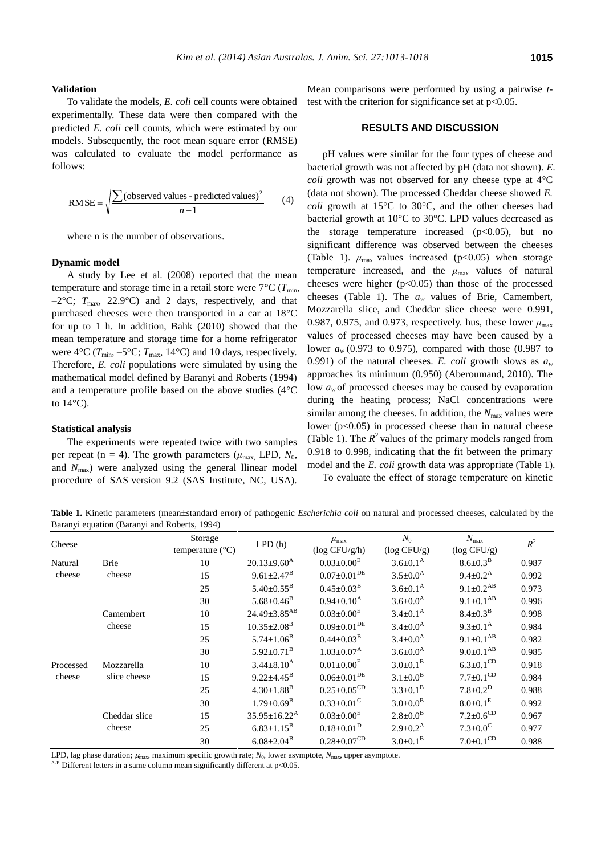**Validation**

To validate the models, *E. coli* cell counts were obtained experimentally. These data were then compared with the predicted *E. coli* cell counts, which were estimated by our models. Subsequently, the root mean square error (RMSE) was calculated to evaluate the model performance as follows:

RMSE = 
$$
\sqrt{\frac{\sum (\text{observed values - predicted values})^2}{n-1}}
$$
 (4)

where n is the number of observations.

## **Dynamic model**

A study by Lee et al. (2008) reported that the mean temperature and storage time in a retail store were  $7^{\circ}C(T_{min}$ ,  $-2$ °C;  $T_{\text{max}}$ , 22.9°C) and 2 days, respectively, and that purchased cheeses were then transported in a car at 18°C for up to 1 h. In addition, Bahk (2010) showed that the mean temperature and storage time for a home refrigerator were  $4^{\circ}C$  ( $T_{min}$ ,  $-5^{\circ}C$ ;  $T_{max}$ , 14°C) and 10 days, respectively. Therefore, *E. coli* populations were simulated by using the mathematical model defined by Baranyi and Roberts (1994) and a temperature profile based on the above studies (4°C to  $14^{\circ}$ C).

## **Statistical analysis**

The experiments were repeated twice with two samples per repeat (n = 4). The growth parameters ( $\mu_{\text{max}}$ , LPD,  $N_0$ , and *N*max) were analyzed using the general llinear model procedure of SAS version 9.2 (SAS Institute, NC, USA).

Mean comparisons were performed by using a pairwise *t*test with the criterion for significance set at  $p<0.05$ .

# **RESULTS AND DISCUSSION**

pH values were similar for the four types of cheese and bacterial growth was not affected by pH (data not shown). *E. coli* growth was not observed for any cheese type at 4°C (data not shown). The processed Cheddar cheese showed *E. coli* growth at 15°C to 30°C, and the other cheeses had bacterial growth at 10°C to 30°C. LPD values decreased as the storage temperature increased  $(p<0.05)$ , but no significant difference was observed between the cheeses (Table 1).  $\mu_{\text{max}}$  values increased (p<0.05) when storage temperature increased, and the  $\mu_{\text{max}}$  values of natural cheeses were higher  $(p<0.05)$  than those of the processed cheeses (Table 1). The *a<sup>w</sup>* values of Brie, Camembert, Mozzarella slice, and Cheddar slice cheese were 0.991, 0.987, 0.975, and 0.973, respectively. hus, these lower  $\mu_{\text{max}}$ values of processed cheeses may have been caused by a lower *a<sup>w</sup>* (0.973 to 0.975), compared with those (0.987 to 0.991) of the natural cheeses. *E. coli* growth slows as  $a_w$ approaches its minimum (0.950) (Aberoumand, 2010). The low  $a_w$  of processed cheeses may be caused by evaporation during the heating process; NaCl concentrations were similar among the cheeses. In addition, the  $N_{\text{max}}$  values were lower  $(p<0.05)$  in processed cheese than in natural cheese (Table 1). The  $R^2$  values of the primary models ranged from 0.918 to 0.998, indicating that the fit between the primary model and the *E. coli* growth data was appropriate (Table 1).

To evaluate the effect of storage temperature on kinetic

**Table 1.** Kinetic parameters (mean±standard error) of pathogenic *Escherichia coli* on natural and processed cheeses, calculated by the Baranyi equation (Baranyi and Roberts, 1994)

| Cheese              |               | Storage                   | LPD(h)                         | $\mu_{\text{max}}$           | $N_0$                 | $N_{\rm max}$               | $R^2$ |
|---------------------|---------------|---------------------------|--------------------------------|------------------------------|-----------------------|-----------------------------|-------|
|                     |               | temperature $(^{\circ}C)$ |                                | $(\log CFU/g/h)$             | $(\log CFU/g)$        | $(\log CFU/g)$              |       |
| Natural             | <b>Brie</b>   | 10                        | $20.13{\pm}9.60^{\rm A}$       | $0.03 \pm 0.00^{\rm E}$      | $3.6 \pm 0.1^{\rm A}$ | $8.6 \pm 0.3^B$             | 0.987 |
| cheese              | cheese        | 15                        | $9.61 \pm 2.47^{\rm B}$        | $0.07\pm0.01^\mathrm{DE}$    | $3.5 \pm 0.0^{\rm A}$ | $9.4 \pm 0.2^{\rm A}$       | 0.992 |
|                     |               | 25                        | $5.40 \pm 0.55^{\rm B}$        | $0.45 \pm 0.03^{\rm B}$      | $3.6 \pm 0.1^{\rm A}$ | $9.1 \pm 0.2^{AB}$          | 0.973 |
|                     |               | 30                        | $5.68 \pm 0.46^B$              | $0.94 \pm 0.10^{\rm A}$      | $3.6 \pm 0.0^{\rm A}$ | $9.1 \pm 0.1^{AB}$          | 0.996 |
|                     | Camembert     | 10                        | $24.49 \pm 3.85$ <sup>AB</sup> | $0.03 \pm 0.00^{\rm E}$      | $3.4 \pm 0.1^{\rm A}$ | $8.4 \pm 0.3^{\rm B}$       | 0.998 |
|                     | cheese        | 15                        | $10.35 \pm 2.08$ <sup>B</sup>  | $0.09\pm0.01^\mathrm{DE}$    | $3.4 \pm 0.0^{\rm A}$ | $9.3 \pm 0.1^{\text{A}}$    | 0.984 |
|                     |               | 25                        | $5.74 \pm 1.06^B$              | $0.44 \pm 0.03^{\rm B}$      | $3.4 \pm 0.0^{\rm A}$ | $9.1 \pm 0.1^{AB}$          | 0.982 |
|                     |               | 30                        | $5.92 \pm 0.71^{\mathrm{B}}$   | $1.03 \pm 0.07^{\rm A}$      | $3.6 \pm 0.0^{\rm A}$ | $9.0 \pm 0.1^{AB}$          | 0.985 |
| Processed<br>cheese | Mozzarella    | 10                        | $3.44 \pm 8.10^{A}$            | $0.01 \pm 0.00^{\text{E}}$   | $3.0 \pm 0.1^B$       | $6.3 \pm 0.1$ <sup>CD</sup> | 0.918 |
|                     | slice cheese  | 15                        | $9.22 \pm 4.45^{\rm B}$        | $0.06 \pm 0.01^{DE}$         | $3.1 \pm 0.0^B$       | $7.7 \pm 0.1$ <sup>CD</sup> | 0.984 |
|                     |               | 25                        | $4.30 \pm 1.88$ <sup>B</sup>   | $0.25\pm0.05^\mathrm{CD}$    | $3.3 \pm 0.1^B$       | $7.8 \pm 0.2^D$             | 0.988 |
|                     |               | 30                        | $1.79 \pm 0.69^{\rm B}$        | $0.33 \pm 0.01$ <sup>C</sup> | $3.0 \pm 0.0^B$       | $8.0 \pm 0.1^E$             | 0.992 |
|                     | Cheddar slice | 15                        | $35.95 \pm 16.22^{\text{A}}$   | $0.03+0.00E$                 | $2.8 \pm 0.0^B$       | $7.2 \pm 0.6^{\rm CD}$      | 0.967 |
|                     | cheese        | 25                        | $6.83 \pm 1.15^B$              | $0.18 \pm 0.01^D$            | $2.9 + 0.2^{\rm A}$   | $7.3 \pm 0.0^{\circ}$       | 0.977 |
|                     |               | 30                        | $6.08 \pm 2.04^{\rm B}$        | $0.28 \pm 0.07^\mathrm{CD}$  | $3.0 \pm 0.1^B$       | $7.0 \pm 0.1$ <sup>CD</sup> | 0.988 |

LPD, lag phase duration;  $\mu_{\text{max}}$ , maximum specific growth rate;  $N_0$ , lower asymptote,  $N_{\text{max}}$ , upper asymptote.

<sup>A-E</sup> Different letters in a same column mean significantly different at  $p<0.05$ .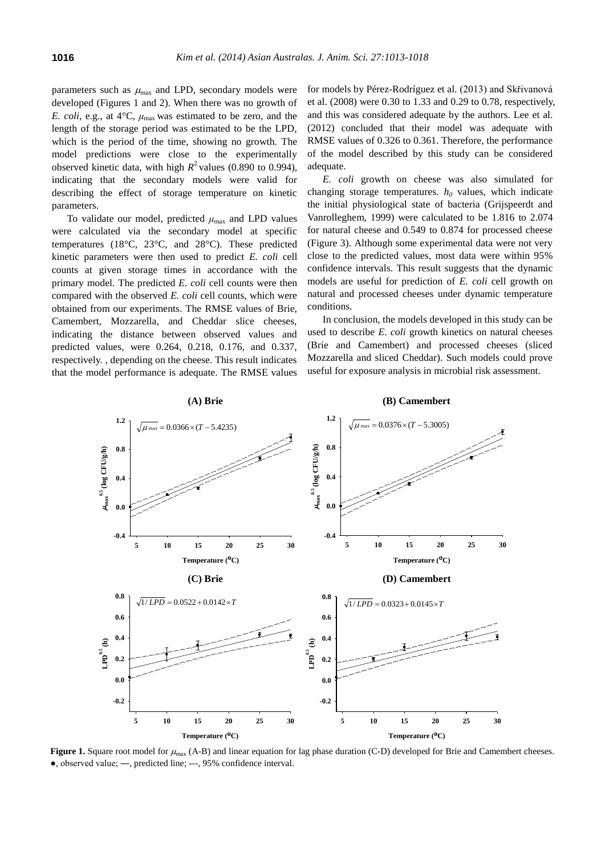parameters such as  $\mu_{\text{max}}$  and LPD, secondary models were developed (Figures 1 and 2). When there was no growth of *E. coli*, e.g., at  $4^{\circ}C$ ,  $\mu_{\text{max}}$  was estimated to be zero, and the length of the storage period was estimated to be the LPD, which is the period of the time, showing no growth. The model predictions were close to the experimentally observed kinetic data, with high  $R^2$  values (0.890 to 0.994), indicating that the secondary models were valid for describing the effect of storage temperature on kinetic parameters.

To validate our model, predicted  $\mu_{\text{max}}$  and LPD values were calculated via the secondary model at specific temperatures (18°C, 23°C, and 28°C). These predicted kinetic parameters were then used to predict *E. coli* cell counts at given storage times in accordance with the primary model. The predicted *E. coli* cell counts were then compared with the observed *E. coli* cell counts, which were obtained from our experiments. The RMSE values of Brie, Camembert, Mozzarella, and Cheddar slice cheeses, indicating the distance between observed values and predicted values, were 0.264, 0.218, 0.176, and 0.337, respectively. , depending on the cheese. This result indicates that the model performance is adequate. The RMSE values for models by Pérez-Rodríguez et al. (2013) and Skřivanová et al. (2008) were 0.30 to 1.33 and 0.29 to 0.78, respectively, and this was considered adequate by the authors. Lee et al. (2012) concluded that their model was adequate with RMSE values of 0.326 to 0.361. Therefore, the performance of the model described by this study can be considered adequate.

*E. coli* growth on cheese was also simulated for changing storage temperatures. *h<sup>0</sup>* values, which indicate the initial physiological state of bacteria (Grijspeerdt and Vanrolleghem, 1999) were calculated to be 1.816 to 2.074 for natural cheese and 0.549 to 0.874 for processed cheese (Figure 3). Although some experimental data were not very close to the predicted values, most data were within 95% confidence intervals. This result suggests that the dynamic models are useful for prediction of *E. coli* cell growth on natural and processed cheeses under dynamic temperature conditions.

In conclusion, the models developed in this study can be used to describe *E. coli* growth kinetics on natural cheeses (Brie and Camembert) and processed cheeses (sliced Mozzarella and sliced Cheddar). Such models could prove useful for exposure analysis in microbial risk assessment.



**Figure 1.** Square root model for  $\mu_{\text{max}}$  (A-B) and linear equation for lag phase duration (C-D) developed for Brie and Camembert cheeses. ●, observed value; ―, predicted line; ---, 95% confidence interval.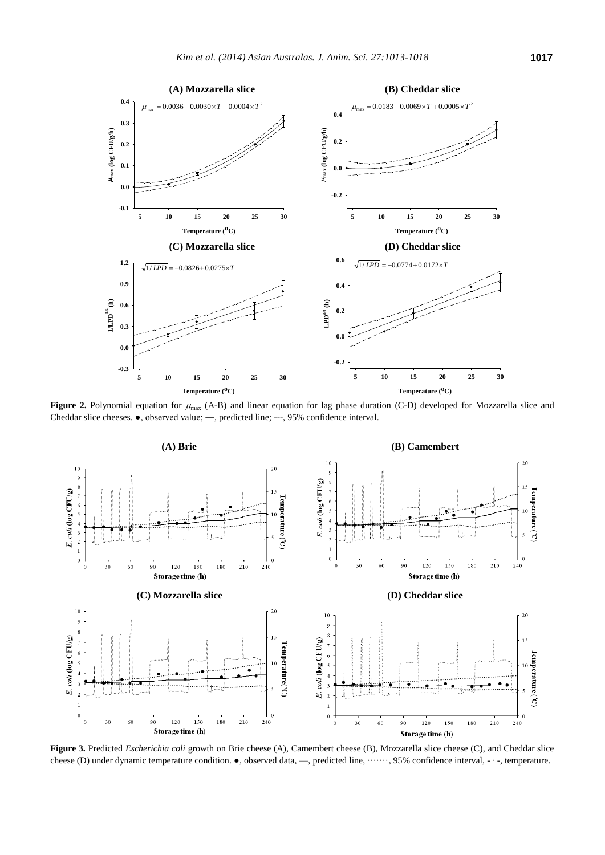

**Figure 2.** Polynomial equation for  $\mu_{\text{max}}$  (A-B) and linear equation for lag phase duration (C-D) developed for Mozzarella slice and Cheddar slice cheeses. ●, observed value; ―, predicted line; ---, 95% confidence interval.



**Figure 3.** Predicted *Escherichia coli* growth on Brie cheese (A), Camembert cheese (B), Mozzarella slice cheese (C), and Cheddar slice cheese (D) under dynamic temperature condition. ●, observed data, —, predicted line, ·······, 95% confidence interval, - ∙ -, temperature.